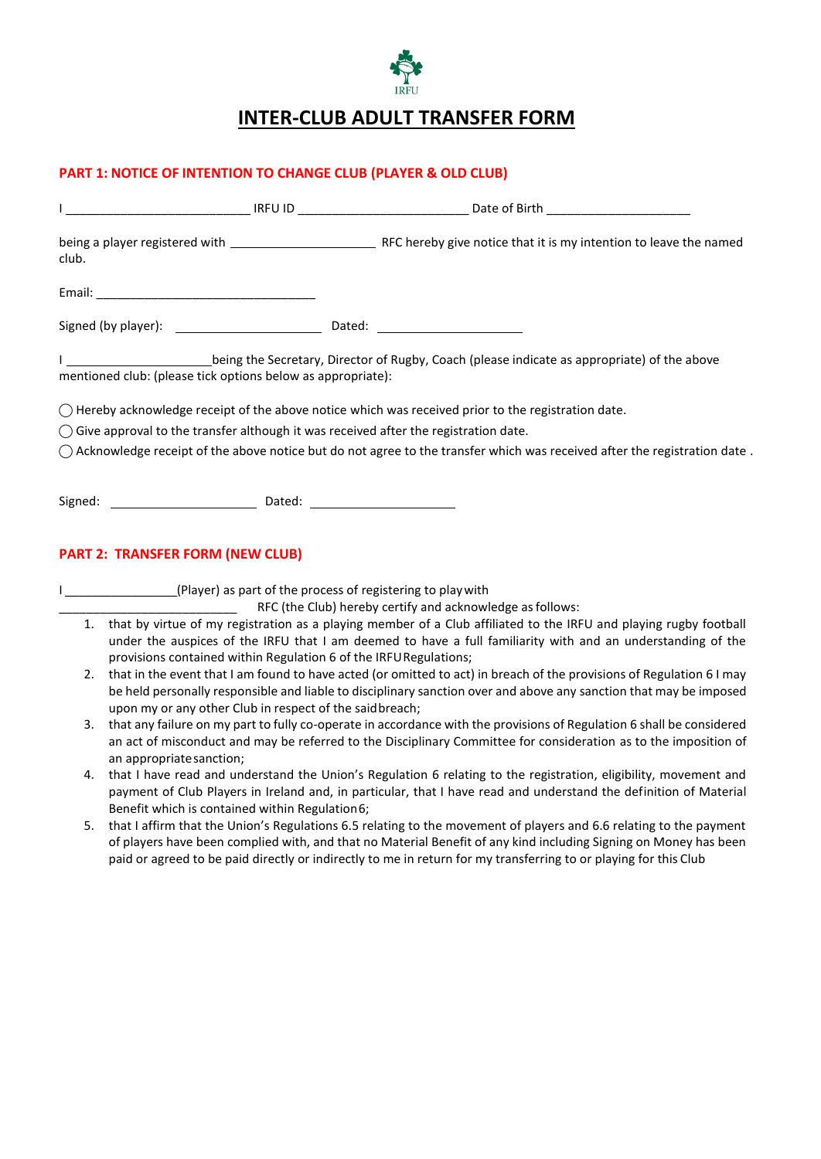

## **INTER-CLUB ADULT TRANSFER FORM**

## **PART 1: NOTICE OF INTENTION TO CHANGE CLUB (PLAYER & OLD CLUB)**

| club. |                                                                                                |                                                                                                                                                                                                                                             |
|-------|------------------------------------------------------------------------------------------------|---------------------------------------------------------------------------------------------------------------------------------------------------------------------------------------------------------------------------------------------|
|       |                                                                                                |                                                                                                                                                                                                                                             |
|       |                                                                                                |                                                                                                                                                                                                                                             |
|       | mentioned club: (please tick options below as appropriate):                                    |                                                                                                                                                                                                                                             |
|       |                                                                                                | $\bigcirc$ Hereby acknowledge receipt of the above notice which was received prior to the registration date.                                                                                                                                |
|       | $\bigcirc$ Give approval to the transfer although it was received after the registration date. |                                                                                                                                                                                                                                             |
|       |                                                                                                | $\bigcirc$ Acknowledge receipt of the above notice but do not agree to the transfer which was received after the registration date.                                                                                                         |
|       |                                                                                                |                                                                                                                                                                                                                                             |
|       | <b>PART 2: TRANSFER FORM (NEW CLUB)</b>                                                        |                                                                                                                                                                                                                                             |
|       | I _________________(Player) as part of the process of registering to play with                 |                                                                                                                                                                                                                                             |
|       |                                                                                                | RFC (the Club) hereby certify and acknowledge as follows:                                                                                                                                                                                   |
| 1.    | provisions contained within Regulation 6 of the IRFU Regulations;                              | that by virtue of my registration as a playing member of a Club affiliated to the IRFU and playing rugby football<br>under the auspices of the IRFU that I am deemed to have a full familiarity with and an understanding of the            |
| 2.    |                                                                                                | that in the event that I am found to have acted (or omitted to act) in breach of the provisions of Regulation 6 I may<br>be held personally responsible and liable to disciplinary sanction over and above any sanction that may be imposed |

- upon my or any other Club in respect of the saidbreach; 3. that any failure on my part to fully co-operate in accordance with the provisions of Regulation 6 shall be considered an act of misconduct and may be referred to the Disciplinary Committee for consideration as to the imposition of
- an appropriatesanction; 4. that I have read and understand the Union's Regulation 6 relating to the registration, eligibility, movement and payment of Club Players in Ireland and, in particular, that I have read and understand the definition of Material Benefit which is contained within Regulation6;
- 5. that I affirm that the Union's Regulations 6.5 relating to the movement of players and 6.6 relating to the payment of players have been complied with, and that no Material Benefit of any kind including Signing on Money has been paid or agreed to be paid directly or indirectly to me in return for my transferring to or playing for this Club